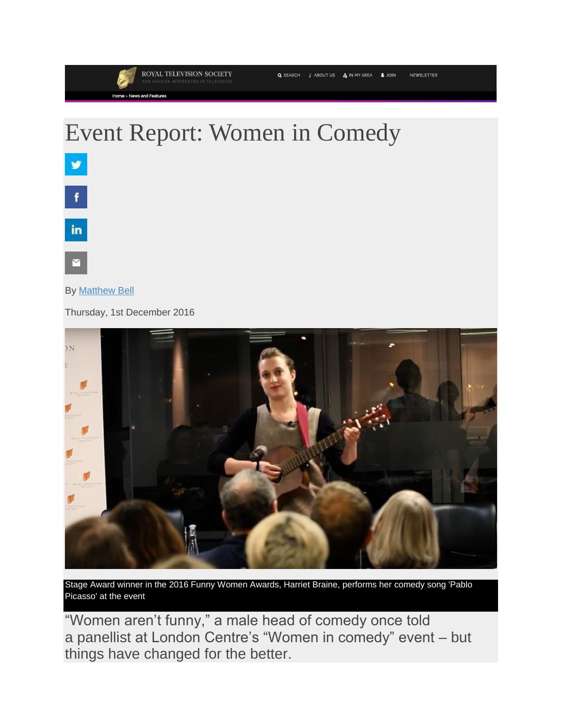## NEWSLETTER

## Event Report: Women in Comedy



## By [Matthew Bell](https://rts.org.uk/person/matthew-bell)

Thursday, 1st December 2016



Stage Award winner in the 2016 Funny Women Awards, Harriet Braine, performs her comedy song 'Pablo Picasso' at the event

"Women aren't funny," a male head of comedy once told a panellist at London Centre's "Women in comedy" event – but things have changed for the better.